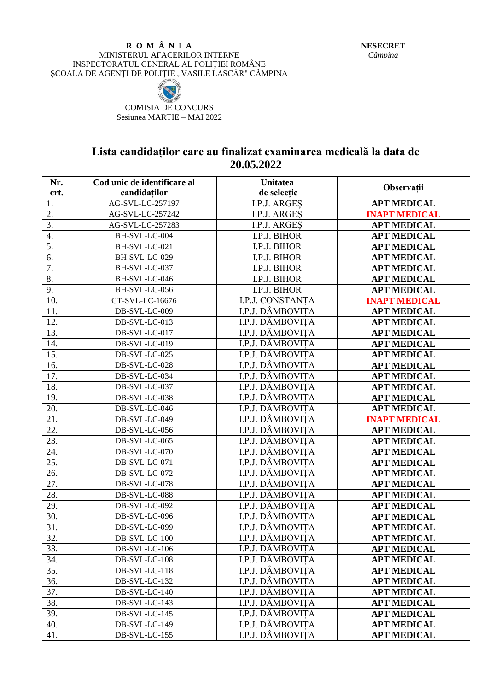## **R O M Â N I A** MINISTERUL AFACERILOR INTERNE INSPECTORATUL GENERAL AL POLIŢIEI ROMÂNE SCOALA DE AGENȚI DE POLITIE, VASILE LASCĂR" CÂMPINA



COMISIA DE CONCURS Sesiunea MARTIE – MAI 2022

## **Lista candidaților care au finalizat examinarea medicală la data de 20.05.2022**

| Nr.               | Cod unic de identificare al | <b>Unitatea</b>  |                      |
|-------------------|-----------------------------|------------------|----------------------|
| crt.              | candidaților                | de selecție      | Observații           |
| 1.                | AG-SVL-LC-257197            | I.P.J. ARGES     | <b>APT MEDICAL</b>   |
| 2.                | AG-SVL-LC-257242            | I.P.J. ARGES     | <b>INAPT MEDICAL</b> |
| $\overline{3}$ .  | AG-SVL-LC-257283            | I.P.J. ARGES     | <b>APT MEDICAL</b>   |
| 4.                | BH-SVL-LC-004               | I.P.J. BIHOR     | <b>APT MEDICAL</b>   |
| 5.                | BH-SVL-LC-021               | I.P.J. BIHOR     | <b>APT MEDICAL</b>   |
| $\overline{6}$ .  | BH-SVL-LC-029               | I.P.J. BIHOR     | <b>APT MEDICAL</b>   |
| 7.                | BH-SVL-LC-037               | I.P.J. BIHOR     | <b>APT MEDICAL</b>   |
| 8.                | BH-SVL-LC-046               | I.P.J. BIHOR     | <b>APT MEDICAL</b>   |
| 9.                | BH-SVL-LC-056               | I.P.J. BIHOR     | <b>APT MEDICAL</b>   |
| 10.               | CT-SVL-LC-16676             | I.P.J. CONSTANTA | <b>INAPT MEDICAL</b> |
| 11.               | DB-SVL-LC-009               | I.P.J. DÂMBOVITA | <b>APT MEDICAL</b>   |
| 12.               | DB-SVL-LC-013               | I.P.J. DÂMBOVITA | <b>APT MEDICAL</b>   |
| 13.               | DB-SVL-LC-017               | I.P.J. DÂMBOVITA | <b>APT MEDICAL</b>   |
| 14.               | DB-SVL-LC-019               | I.P.J. DÂMBOVITA | <b>APT MEDICAL</b>   |
| 15.               | DB-SVL-LC-025               | I.P.J. DÂMBOVIȚA | <b>APT MEDICAL</b>   |
| 16.               | DB-SVL-LC-028               | I.P.J. DÂMBOVITA | <b>APT MEDICAL</b>   |
| 17.               | DB-SVL-LC-034               | I.P.J. DÂMBOVITA | <b>APT MEDICAL</b>   |
| 18.               | DB-SVL-LC-037               | I.P.J. DÂMBOVITA | <b>APT MEDICAL</b>   |
| 19.               | DB-SVL-LC-038               | I.P.J. DÂMBOVITA | <b>APT MEDICAL</b>   |
| 20.               | DB-SVL-LC-046               | I.P.J. DÂMBOVITA | <b>APT MEDICAL</b>   |
| 21.               | DB-SVL-LC-049               | I.P.J. DÂMBOVITA | <b>INAPT MEDICAL</b> |
| 22.               | DB-SVL-LC-056               | I.P.J. DÂMBOVITA | <b>APT MEDICAL</b>   |
| 23.               | DB-SVL-LC-065               | I.P.J. DÂMBOVITA | <b>APT MEDICAL</b>   |
| 24.               | DB-SVL-LC-070               | I.P.J. DÂMBOVITA | <b>APT MEDICAL</b>   |
| 25.               | DB-SVL-LC-071               | I.P.J. DÂMBOVITA | <b>APT MEDICAL</b>   |
| 26.               | DB-SVL-LC-072               | I.P.J. DÂMBOVITA | <b>APT MEDICAL</b>   |
| 27.               | DB-SVL-LC-078               | I.P.J. DÂMBOVIȚA | <b>APT MEDICAL</b>   |
| 28.               | DB-SVL-LC-088               | I.P.J. DÂMBOVITA | <b>APT MEDICAL</b>   |
| 29.               | DB-SVL-LC-092               | I.P.J. DÂMBOVITA | <b>APT MEDICAL</b>   |
| 30.               | DB-SVL-LC-096               | I.P.J. DÂMBOVIȚA | <b>APT MEDICAL</b>   |
| $\overline{31}$ . | DB-SVL-LC-099               | I.P.J. DÂMBOVIȚA | <b>APT MEDICAL</b>   |
| $\overline{32}$ . | DB-SVL-LC-100               | I.P.J. DÂMBOVITA | <b>APT MEDICAL</b>   |
| 33.               | DB-SVL-LC-106               | I.P.J. DÂMBOVITA | <b>APT MEDICAL</b>   |
| 34.               | DB-SVL-LC-108               | I.P.J. DÂMBOVITA | <b>APT MEDICAL</b>   |
| 35.               | DB-SVL-LC-118               | I.P.J. DÂMBOVIȚA | <b>APT MEDICAL</b>   |
| 36.               | DB-SVL-LC-132               | I.P.J. DÂMBOVIȚA | <b>APT MEDICAL</b>   |
| 37.               | DB-SVL-LC-140               | I.P.J. DÂMBOVITA | <b>APT MEDICAL</b>   |
| 38.               | DB-SVL-LC-143               | I.P.J. DÂMBOVIȚA | <b>APT MEDICAL</b>   |
| 39.               | DB-SVL-LC-145               | I.P.J. DÂMBOVITA | <b>APT MEDICAL</b>   |
| 40.               | DB-SVL-LC-149               | I.P.J. DÂMBOVIȚA | <b>APT MEDICAL</b>   |
| 41.               | DB-SVL-LC-155               | I.P.J. DÂMBOVITA | <b>APT MEDICAL</b>   |